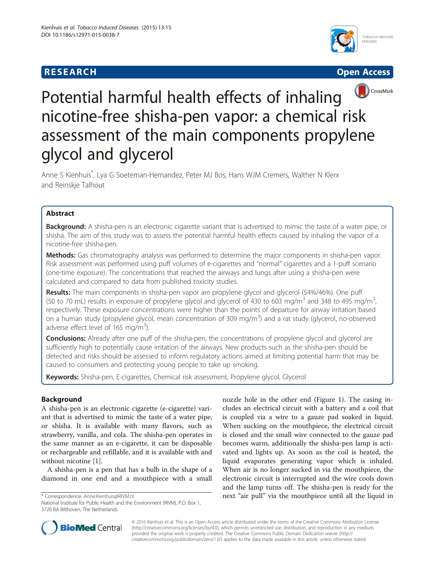### **RESEARCH CHINESE ARCH CHINESE ARCH CHINESE ARCH <b>CHINESE ARCH**







# Potential harmful health effects of inhaling nicotine-free shisha-pen vapor: a chemical risk assessment of the main components propylene glycol and glycerol

Anne S Kienhuis\* , Lya G Soeteman-Hernandez, Peter MJ Bos, Hans WJM Cremers, Walther N Klerx and Reinskje Talhout

#### Abstract

Background: A shisha-pen is an electronic cigarette variant that is advertised to mimic the taste of a water pipe, or shisha. The aim of this study was to assess the potential harmful health effects caused by inhaling the vapor of a nicotine-free shisha-pen.

Methods: Gas chromatography analysis was performed to determine the major components in shisha-pen vapor. Risk assessment was performed using puff volumes of e-cigarettes and "normal" cigarettes and a 1-puff scenario (one-time exposure). The concentrations that reached the airways and lungs after using a shisha-pen were calculated and compared to data from published toxicity studies.

Results: The main components in shisha-pen vapor are propylene glycol and glycerol (54%/46%). One puff (50 to 70 mL) results in exposure of propylene glycol and glycerol of 430 to 603 mg/m<sup>3</sup> and 348 to 495 mg/m<sup>3</sup>. , respectively. These exposure concentrations were higher than the points of departure for airway irritation based on a human study (propylene glycol, mean concentration of 309 mg/m<sup>3</sup>) and a rat study (glycerol, no-observed adverse effect level of 165 mg/m<sup>3</sup>).

**Conclusions:** Already after one puff of the shisha-pen, the concentrations of propylene glycol and glycerol are sufficiently high to potentially cause irritation of the airways. New products such as the shisha-pen should be detected and risks should be assessed to inform regulatory actions aimed at limiting potential harm that may be caused to consumers and protecting young people to take up smoking.

Keywords: Shisha-pen, E-cigarettes, Chemical risk assessment, Propylene glycol, Glycerol

#### Background

A shisha-pen is an electronic cigarette (e-cigarette) variant that is advertised to mimic the taste of a water pipe, or shisha. It is available with many flavors, such as strawberry, vanilla, and cola. The shisha-pen operates in the same manner as an e-cigarette, it can be disposable or rechargeable and refillable, and it is available with and without nicotine [\[1](#page-5-0)].

A shisha-pen is a pen that has a bulb in the shape of a diamond in one end and a mouthpiece with a small

nozzle hole in the other end (Figure [1\)](#page-1-0). The casing includes an electrical circuit with a battery and a coil that is coupled via a wire to a gauze pad soaked in liquid. When sucking on the mouthpiece, the electrical circuit is closed and the small wire connected to the gauze pad becomes warm, additionally the shisha-pen lamp is activated and lights up. As soon as the coil is heated, the liquid evaporates generating vapor which is inhaled. When air is no longer sucked in via the mouthpiece, the electronic circuit is interrupted and the wire cools down and the lamp turns off. The shisha-pen is ready for the \* Correspondence: [Anne.Kienhuis@RIVM.nl](mailto:Anne.Kienhuis@RIVM.nl) next "air pull" via the mouthpiece until all the liquid in



© 2016 Kienhuis et al. This is an Open Access article distributed under the terms of the Creative Commons Attribution License [\(http://creativecommons.org/licenses/by/4.0\)](http://creativecommons.org/licenses/by/4.0), which permits unrestricted use, distribution, and reproduction in any medium, provided the original work is properly credited. The Creative Commons Public Domain Dedication waiver [\(http://](http://creativecommons.org/publicdomain/zero/1.0/) [creativecommons.org/publicdomain/zero/1.0/\)](http://creativecommons.org/publicdomain/zero/1.0/) applies to the data made available in this article, unless otherwise stated.

National Institute for Public Health and the Environment (RIVM), P.O. Box 1, 3720 BA Bilthoven, The Netherlands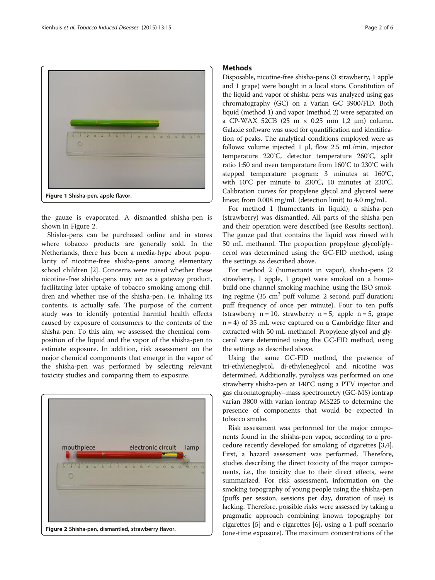<span id="page-1-0"></span>

the gauze is evaporated. A dismantled shisha-pen is shown in Figure 2.

Shisha-pens can be purchased online and in stores where tobacco products are generally sold. In the Netherlands, there has been a media-hype about popularity of nicotine-free shisha-pens among elementary school children [[2\]](#page-5-0). Concerns were raised whether these nicotine-free shisha-pens may act as a gateway product, facilitating later uptake of tobacco smoking among children and whether use of the shisha-pen, i.e. inhaling its contents, is actually safe. The purpose of the current study was to identify potential harmful health effects caused by exposure of consumers to the contents of the shisha-pen. To this aim, we assessed the chemical composition of the liquid and the vapor of the shisha-pen to estimate exposure. In addition, risk assessment on the major chemical components that emerge in the vapor of the shisha-pen was performed by selecting relevant toxicity studies and comparing them to exposure.



#### **Methods**

Disposable, nicotine-free shisha-pens (3 strawberry, 1 apple and 1 grape) were bought in a local store. Constitution of the liquid and vapor of shisha-pens was analyzed using gas chromatography (GC) on a Varian GC 3900/FID. Both liquid (method 1) and vapor (method 2) were separated on a CP-WAX 52CB (25 m  $\times$  0.25 mm 1,2 μm) column. Galaxie software was used for quantification and identification of peaks. The analytical conditions employed were as follows: volume injected 1 μl, flow 2.5 mL/min, injector temperature 220°C, detector temperature 260°C, split ratio 1:50 and oven temperature from 160°C to 230°C with stepped temperature program: 3 minutes at 160°C, with 10°C per minute to 230°C, 10 minutes at 230°C. Calibration curves for propylene glycol and glycerol were linear, from 0.008 mg/mL (detection limit) to 4.0 mg/mL.

For method 1 (humectants in liquid), a shisha-pen (strawberry) was dismantled. All parts of the shisha-pen and their operation were described (see [Results](#page-2-0) section). The gauze pad that contains the liquid was rinsed with 50 mL methanol. The proportion propylene glycol/glycerol was determined using the GC-FID method, using the settings as described above.

For method 2 (humectants in vapor), shisha-pens (2 strawberry, 1 apple, 1 grape) were smoked on a homebuild one-channel smoking machine, using the ISO smoking regime (35  $\text{cm}^3$  puff volume; 2 second puff duration; puff frequency of once per minute). Four to ten puffs (strawberry  $n = 10$ , strawberry  $n = 5$ , apple  $n = 5$ , grape  $n = 4$ ) of 35 mL were captured on a Cambridge filter and extracted with 50 mL methanol. Propylene glycol and glycerol were determined using the GC-FID method, using the settings as described above.

Using the same GC-FID method, the presence of tri-ethyleneglycol, di-ethyleneglycol and nicotine was determined. Additionally, pyrolysis was performed on one strawberry shisha-pen at 140°C using a PTV injector and gas chromatography–mass spectrometry (GC-MS) iontrap varian 3800 with varian iontrap MS225 to determine the presence of components that would be expected in tobacco smoke.

Risk assessment was performed for the major components found in the shisha-pen vapor, according to a procedure recently developed for smoking of cigarettes [[3](#page-5-0),[4](#page-5-0)]. First, a hazard assessment was performed. Therefore, studies describing the direct toxicity of the major components, i.e., the toxicity due to their direct effects, were summarized. For risk assessment, information on the smoking topography of young people using the shisha-pen (puffs per session, sessions per day, duration of use) is lacking. Therefore, possible risks were assessed by taking a pragmatic approach combining known topography for cigarettes [\[5](#page-5-0)] and e-cigarettes [\[6](#page-5-0)], using a 1-puff scenario (one-time exposure). The maximum concentrations of the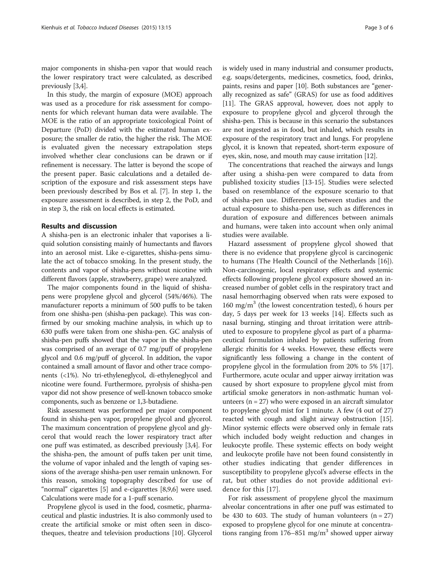<span id="page-2-0"></span>major components in shisha-pen vapor that would reach the lower respiratory tract were calculated, as described previously [\[3,4\]](#page-5-0).

In this study, the margin of exposure (MOE) approach was used as a procedure for risk assessment for components for which relevant human data were available. The MOE is the ratio of an appropriate toxicological Point of Departure (PoD) divided with the estimated human exposure; the smaller de ratio, the higher the risk. The MOE is evaluated given the necessary extrapolation steps involved whether clear conclusions can be drawn or if refinement is necessary. The latter is beyond the scope of the present paper. Basic calculations and a detailed description of the exposure and risk assessment steps have been previously described by Bos et al. [\[7\]](#page-5-0). In step 1, the exposure assessment is described, in step 2, the PoD, and in step 3, the risk on local effects is estimated.

#### Results and discussion

A shisha-pen is an electronic inhaler that vaporises a liquid solution consisting mainly of humectants and flavors into an aerosol mist. Like e-cigarettes, shisha-pens simulate the act of tobacco smoking. In the present study, the contents and vapor of shisha-pens without nicotine with different flavors (apple, strawberry, grape) were analyzed.

The major components found in the liquid of shishapens were propylene glycol and glycerol (54%/46%). The manufacturer reports a minimum of 500 puffs to be taken from one shisha-pen (shisha-pen package). This was confirmed by our smoking machine analysis, in which up to 630 puffs were taken from one shisha-pen. GC analysis of shisha-pen puffs showed that the vapor in the shisha-pen was comprised of an average of 0.7 mg/puff of propylene glycol and 0.6 mg/puff of glycerol. In addition, the vapor contained a small amount of flavor and other trace components (<1%). No tri-ethyleneglycol, di-ethyleneglycol and nicotine were found. Furthermore, pyrolysis of shisha-pen vapor did not show presence of well-known tobacco smoke components, such as benzene or 1,3-butadiene.

Risk assessment was performed per major component found in shisha-pen vapor, propylene glycol and glycerol. The maximum concentration of propylene glycol and glycerol that would reach the lower respiratory tract after one puff was estimated, as described previously [[3,4](#page-5-0)]. For the shisha-pen, the amount of puffs taken per unit time, the volume of vapor inhaled and the length of vaping sessions of the average shisha-pen user remain unknown. For this reason, smoking topography described for use of "normal" cigarettes [\[5](#page-5-0)] and e-cigarettes [\[8,9,6\]](#page-5-0) were used. Calculations were made for a 1-puff scenario.

Propylene glycol is used in the food, cosmetic, pharmaceutical and plastic industries. It is also commonly used to create the artificial smoke or mist often seen in discotheques, theatre and television productions [[10](#page-5-0)]. Glycerol

is widely used in many industrial and consumer products, e.g. soaps/detergents, medicines, cosmetics, food, drinks, paints, resins and paper [[10](#page-5-0)]. Both substances are "generally recognized as safe" (GRAS) for use as food additives [[11](#page-5-0)]. The GRAS approval, however, does not apply to exposure to propylene glycol and glycerol through the shisha-pen. This is because in this scenario the substances are not ingested as in food, but inhaled, which results in exposure of the respiratory tract and lungs. For propylene glycol, it is known that repeated, short-term exposure of eyes, skin, nose, and mouth may cause irritation [\[12\]](#page-5-0).

The concentrations that reached the airways and lungs after using a shisha-pen were compared to data from published toxicity studies [\[13](#page-5-0)-[15\]](#page-5-0). Studies were selected based on resemblance of the exposure scenario to that of shisha-pen use. Differences between studies and the actual exposure to shisha-pen use, such as differences in duration of exposure and differences between animals and humans, were taken into account when only animal studies were available.

Hazard assessment of propylene glycol showed that there is no evidence that propylene glycol is carcinogenic to humans (The Health Council of the Netherlands [[16](#page-5-0)]). Non-carcinogenic, local respiratory effects and systemic effects following propylene glycol exposure showed an increased number of goblet cells in the respiratory tract and nasal hemorrhaging observed when rats were exposed to 160 mg/m<sup>3</sup> (the lowest concentration tested), 6 hours per day, 5 days per week for 13 weeks [\[14\]](#page-5-0). Effects such as nasal burning, stinging and throat irritation were attributed to exposure to propylene glycol as part of a pharmaceutical formulation inhaled by patients suffering from allergic rhinitis for 4 weeks. However, these effects were significantly less following a change in the content of propylene glycol in the formulation from 20% to 5% [[17](#page-5-0)]. Furthermore, acute ocular and upper airway irritation was caused by short exposure to propylene glycol mist from artificial smoke generators in non-asthmatic human volunteers ( $n = 27$ ) who were exposed in an aircraft simulator to propylene glycol mist for 1 minute. A few (4 out of 27) reacted with cough and slight airway obstruction [[15](#page-5-0)]. Minor systemic effects were observed only in female rats which included body weight reduction and changes in leukocyte profile. These systemic effects on body weight and leukocyte profile have not been found consistently in other studies indicating that gender differences in susceptibility to propylene glycol's adverse effects in the rat, but other studies do not provide additional evidence for this [\[17](#page-5-0)].

For risk assessment of propylene glycol the maximum alveolar concentrations in after one puff was estimated to be 430 to 603. The study of human volunteers  $(n = 27)$ exposed to propylene glycol for one minute at concentrations ranging from  $176-851$  mg/m<sup>3</sup> showed upper airway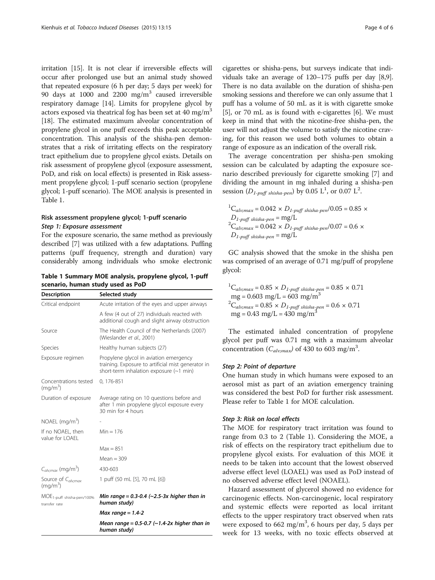irritation [\[15\]](#page-5-0). It is not clear if irreversible effects will occur after prolonged use but an animal study showed that repeated exposure (6 h per day; 5 days per week) for 90 days at 1000 and 2200  $mg/m^3$  caused irreversible respiratory damage [\[14\]](#page-5-0). Limits for propylene glycol by actors exposed via theatrical fog has been set at 40 mg/m<sup>3</sup> [[18](#page-5-0)]. The estimated maximum alveolar concentration of propylene glycol in one puff exceeds this peak acceptable concentration. This analysis of the shisha-pen demonstrates that a risk of irritating effects on the respiratory tract epithelium due to propylene glycol exists. Details on risk assessment of propylene glycol (exposure assessment, PoD, and risk on local effects) is presented in Risk assessment propylene glycol; 1-puff scenario section (propylene glycol; 1-puff scenario). The MOE analysis is presented in Table 1.

#### Risk assessment propylene glycol; 1-puff scenario Step 1: Exposure assessment

For the exposure scenario, the same method as previously described [\[7](#page-5-0)] was utilized with a few adaptations. Puffing patterns (puff frequency, strength and duration) vary considerably among individuals who smoke electronic

Table 1 Summary MOE analysis, propylene glycol, 1-puff scenario, human study used as PoD

| Description                                            | Selected study                                                                                                                          |
|--------------------------------------------------------|-----------------------------------------------------------------------------------------------------------------------------------------|
| Critical endpoint                                      | Acute irritation of the eyes and upper airways                                                                                          |
|                                                        | A few (4 out of 27) individuals reacted with<br>additional cough and slight airway obstruction                                          |
| Source                                                 | The Health Council of the Netherlands (2007)<br>(Wieslander et al., 2001)                                                               |
| Species                                                | Healthy human subjects (27)                                                                                                             |
| Exposure regimen                                       | Propylene glycol in aviation emergency<br>training. Exposure to artificial mist generator in<br>short-term inhalation exposure (~1 min) |
| Concentrations tested<br>(mq/m <sup>3</sup> )          | 0, 176-851                                                                                                                              |
| Duration of exposure                                   | Average rating on 10 questions before and<br>after 1 min propylene glycol exposure every<br>30 min for 4 hours                          |
| NOAEL $(mq/m^3)$                                       |                                                                                                                                         |
| If no NOAEL, then<br>value for LOAFL                   | $Min = 176$                                                                                                                             |
|                                                        | $Max = 851$                                                                                                                             |
|                                                        | $Mean = 309$                                                                                                                            |
| $\zeta_{\text{alvmax}}$ (mg/m <sup>3</sup> )           | 430-603                                                                                                                                 |
| Source of C <sub>alv;max</sub><br>$(mq/m^3)$           | 1 puff (50 mL [5], 70 mL [6])                                                                                                           |
| MOE <sub>1-puff shisha-pen/100%</sub><br>transfer rate | Min range = 0.3-0.4 ( $\sim$ 2.5-3x higher than in<br>human study)                                                                      |
|                                                        | Max range = $1.4 - 2$                                                                                                                   |
|                                                        | Mean range = 0.5-0.7 ( $\sim$ 1.4-2x higher than in<br>human study)                                                                     |

cigarettes or shisha-pens, but surveys indicate that individuals take an average of 120–175 puffs per day [[8](#page-5-0),[9](#page-5-0)]. There is no data available on the duration of shisha-pen smoking sessions and therefore we can only assume that 1 puff has a volume of 50 mL as it is with cigarette smoke [[5\]](#page-5-0), or 70 mL as is found with e-cigarettes [[6\]](#page-5-0). We must keep in mind that with the nicotine-free shisha-pen, the user will not adjust the volume to satisfy the nicotine craving, for this reason we used both volumes to obtain a range of exposure as an indication of the overall risk.

The average concentration per shisha-pen smoking session can be calculated by adapting the exposure scenario described previously for cigarette smoking [[7\]](#page-5-0) and dividing the amount in mg inhaled during a shisha-pen session ( $D_{1-puff shisha-pen}$ ) by 0.05 L<sup>1</sup>, or 0.07 L<sup>2</sup>.

<sup>1</sup>C<sub>alv;max</sub> =  $0.042 \times D_{1-puff}$  shisha-pen</sub>/0.05 = 0.85  $\times$  $D_{1-puff\ shisha-pen} = \text{mg/L}$ <br>  ${}^{2}C_{alv,max} = 0.042 \times D_{1-puff\ shisha-pen}/0.07 = 0.6 \times$  $D_{1-puff shisha-pen} = mg/L$ 

GC analysis showed that the smoke in the shisha pen was comprised of an average of 0.71 mg/puff of propylene glycol:

$$
{}^{1}C_{alv,max} = 0.85 \times D_{1-puff\ shisha-pen} = 0.85 \times 0.71
$$
  
\nmg = 0.603 mg/L = 603 mg/m<sup>3</sup>  
\n
$$
{}^{2}C_{alv,max} = 0.85 \times D_{1-puff\ shisha-pen} = 0.6 \times 0.71
$$
  
\nmg = 0.43 mg/L = 430 mg/m<sup>3</sup>

The estimated inhaled concentration of propylene glycol per puff was 0.71 mg with a maximum alveolar concentration ( $C_{alv;max}$ ) of 430 to 603 mg/m<sup>3</sup>.

#### Step 2: Point of departure

One human study in which humans were exposed to an aerosol mist as part of an aviation emergency training was considered the best PoD for further risk assessment. Please refer to Table 1 for MOE calculation.

#### Step 3: Risk on local effects

The MOE for respiratory tract irritation was found to range from 0.3 to 2 (Table 1). Considering the MOE, a risk of effects on the respiratory tract epithelium due to propylene glycol exists. For evaluation of this MOE it needs to be taken into account that the lowest observed adverse effect level (LOAEL) was used as PoD instead of no observed adverse effect level (NOAEL).

Hazard assessment of glycerol showed no evidence for carcinogenic effects. Non-carcinogenic, local respiratory and systemic effects were reported as local irritant effects to the upper respiratory tract observed when rats were exposed to  $662$  mg/m<sup>3</sup>, 6 hours per day, 5 days per week for 13 weeks, with no toxic effects observed at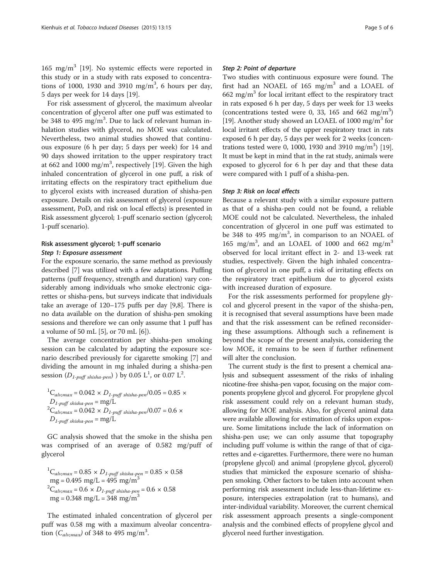165 mg/m<sup>3</sup> [\[19](#page-5-0)]. No systemic effects were reported in this study or in a study with rats exposed to concentrations of 1000, 1930 and 3910 mg/m<sup>3</sup>, 6 hours per day, 5 days per week for 14 days [\[19](#page-5-0)].

For risk assessment of glycerol, the maximum alveolar concentration of glycerol after one puff was estimated to be 348 to 495 mg/m<sup>3</sup>. Due to lack of relevant human inhalation studies with glycerol, no MOE was calculated. Nevertheless, two animal studies showed that continuous exposure (6 h per day; 5 days per week) for 14 and 90 days showed irritation to the upper respiratory tract at 662 and 1000 mg/m<sup>3</sup>, respectively [[19\]](#page-5-0). Given the high inhaled concentration of glycerol in one puff, a risk of irritating effects on the respiratory tract epithelium due to glycerol exists with increased duration of shisha-pen exposure. Details on risk assessment of glycerol (exposure assessment, PoD, and risk on local effects) is presented in Risk assessment glycerol; 1-puff scenario section (glycerol; 1-puff scenario).

#### Risk assessment glycerol; 1-puff scenario Step 1: Exposure assessment

For the exposure scenario, the same method as previously described [\[7](#page-5-0)] was utilized with a few adaptations. Puffing patterns (puff frequency, strength and duration) vary considerably among individuals who smoke electronic cigarettes or shisha-pens, but surveys indicate that individuals take an average of 120–175 puffs per day [[9,8\]](#page-5-0). There is no data available on the duration of shisha-pen smoking sessions and therefore we can only assume that 1 puff has a volume of 50 mL [[5\]](#page-5-0), or 70 mL [\[6\]](#page-5-0)).

The average concentration per shisha-pen smoking session can be calculated by adapting the exposure scenario described previously for cigarette smoking [[7\]](#page-5-0) and dividing the amount in mg inhaled during a shisha-pen session ( $D_{1-puff\ shisha-pen}$ ) ) by 0.05 L<sup>1</sup>, or 0.07 L<sup>2</sup>.

$$
{}^{1}C_{alv;max} = 0.042 \times D_{1-puff\;shisha-pen}/0.05 = 0.85 \times D_{1-puff\;shisha-pen} = mg/L
$$
  

$$
{}^{2}C_{alv;max} = 0.042 \times D_{1-puff\;shisha-pen}/0.07 = 0.6 \times D_{1-puff\;shisha-pen} = mg/L
$$

GC analysis showed that the smoke in the shisha pen was comprised of an average of 0.582 mg/puff of glycerol

$$
{}^{1}C_{alv;max} = 0.85 \times D_{1-puff\;shisha-pen} = 0.85 \times 0.58
$$
  
mg = 0.495 mg/L = 495 mg/m<sup>3</sup>  

$$
{}^{2}C_{alv;max} = 0.6 \times D_{1-puff\;shisha-pen} = 0.6 \times 0.58
$$
  
mg = 0.348 mg/L = 348 mg/m<sup>3</sup>

The estimated inhaled concentration of glycerol per puff was 0.58 mg with a maximum alveolar concentration ( $C_{alv;max}$ ) of 348 to 495 mg/m<sup>3</sup>.

#### Step 2: Point of departure

Two studies with continuous exposure were found. The first had an NOAEL of  $165$  mg/m<sup>3</sup> and a LOAEL of 662 mg/m<sup>3</sup> for local irritant effect to the respiratory tract in rats exposed 6 h per day, 5 days per week for 13 weeks (concentrations tested were 0, 33, 165 and 662 mg/m<sup>3</sup>) [[19](#page-5-0)]. Another study showed an LOAEL of 1000 mg/m<sup>3</sup> for local irritant effects of the upper respiratory tract in rats exposed 6 h per day, 5 days per week for 2 weeks (concen-trations tested were 0, 1000, [19](#page-5-0)30 and 3910 mg/m<sup>3</sup>) [19]. It must be kept in mind that in the rat study, animals were exposed to glycerol for 6 h per day and that these data were compared with 1 puff of a shisha-pen.

#### Step 3: Risk on local effects

Because a relevant study with a similar exposure pattern as that of a shisha-pen could not be found, a reliable MOE could not be calculated. Nevertheless, the inhaled concentration of glycerol in one puff was estimated to be 348 to 495 mg/m<sup>3</sup>, in comparison to an NOAEL of 165 mg/m<sup>3</sup>, and an LOAEL of 1000 and 662 mg/m<sup>3</sup> observed for local irritant effect in 2- and 13-week rat studies, respectively. Given the high inhaled concentration of glycerol in one puff, a risk of irritating effects on the respiratory tract epithelium due to glycerol exists with increased duration of exposure.

For the risk assessments performed for propylene glycol and glycerol present in the vapor of the shisha-pen, it is recognised that several assumptions have been made and that the risk assessment can be refined reconsidering these assumptions. Although such a refinement is beyond the scope of the present analysis, considering the low MOE, it remains to be seen if further refinement will alter the conclusion.

The current study is the first to present a chemical analysis and subsequent assessment of the risks of inhaling nicotine-free shisha-pen vapor, focusing on the major components propylene glycol and glycerol. For propylene glycol risk assessment could rely on a relevant human study, allowing for MOE analysis. Also, for glycerol animal data were available allowing for estimation of risks upon exposure. Some limitations include the lack of information on shisha-pen use; we can only assume that topography including puff volume is within the range of that of cigarettes and e-cigarettes. Furthermore, there were no human (propylene glycol) and animal (propylene glycol, glycerol) studies that mimicked the exposure scenario of shishapen smoking. Other factors to be taken into account when performing risk assessment include less-than-lifetime exposure, interspecies extrapolation (rat to humans), and inter-individual variability. Moreover, the current chemical risk assessment approach presents a single-component analysis and the combined effects of propylene glycol and glycerol need further investigation.